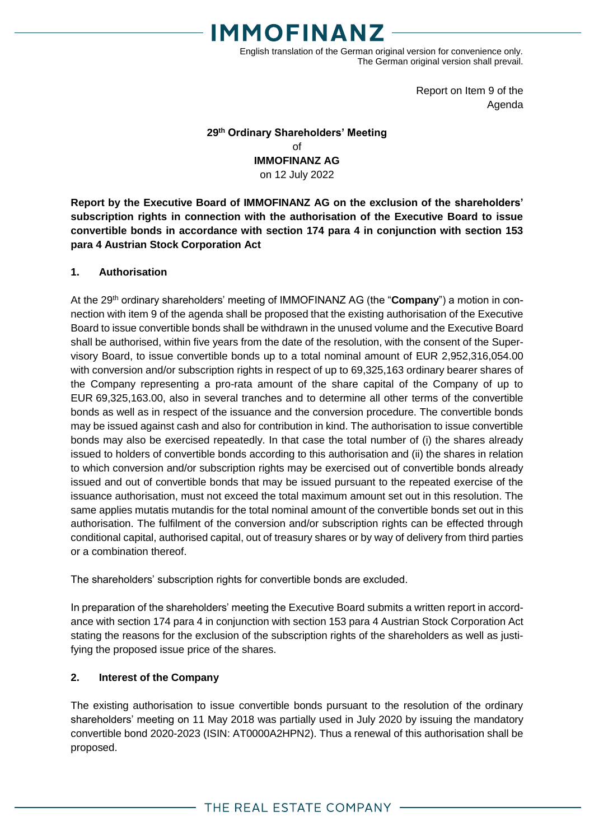

English translation of the German original version for convenience only. The German original version shall prevail.

> Report on Item 9 of the Agenda

### **29 th Ordinary Shareholders' Meeting** of **IMMOFINANZ AG** on 12 July 2022

**Report by the Executive Board of IMMOFINANZ AG on the exclusion of the shareholders' subscription rights in connection with the authorisation of the Executive Board to issue convertible bonds in accordance with section 174 para 4 in conjunction with section 153 para 4 Austrian Stock Corporation Act**

#### **1. Authorisation**

At the 29<sup>th</sup> ordinary shareholders' meeting of IMMOFINANZ AG (the "**Company**") a motion in connection with item 9 of the agenda shall be proposed that the existing authorisation of the Executive Board to issue convertible bonds shall be withdrawn in the unused volume and the Executive Board shall be authorised, within five years from the date of the resolution, with the consent of the Supervisory Board, to issue convertible bonds up to a total nominal amount of EUR 2,952,316,054.00 with conversion and/or subscription rights in respect of up to 69,325,163 ordinary bearer shares of the Company representing a pro-rata amount of the share capital of the Company of up to EUR 69,325,163.00, also in several tranches and to determine all other terms of the convertible bonds as well as in respect of the issuance and the conversion procedure. The convertible bonds may be issued against cash and also for contribution in kind. The authorisation to issue convertible bonds may also be exercised repeatedly. In that case the total number of (i) the shares already issued to holders of convertible bonds according to this authorisation and (ii) the shares in relation to which conversion and/or subscription rights may be exercised out of convertible bonds already issued and out of convertible bonds that may be issued pursuant to the repeated exercise of the issuance authorisation, must not exceed the total maximum amount set out in this resolution. The same applies mutatis mutandis for the total nominal amount of the convertible bonds set out in this authorisation. The fulfilment of the conversion and/or subscription rights can be effected through conditional capital, authorised capital, out of treasury shares or by way of delivery from third parties or a combination thereof.

The shareholders' subscription rights for convertible bonds are excluded.

In preparation of the shareholders' meeting the Executive Board submits a written report in accordance with section 174 para 4 in conjunction with section 153 para 4 Austrian Stock Corporation Act stating the reasons for the exclusion of the subscription rights of the shareholders as well as justifying the proposed issue price of the shares.

## **2. Interest of the Company**

The existing authorisation to issue convertible bonds pursuant to the resolution of the ordinary shareholders' meeting on 11 May 2018 was partially used in July 2020 by issuing the mandatory convertible bond 2020-2023 (ISIN: AT0000A2HPN2). Thus a renewal of this authorisation shall be proposed.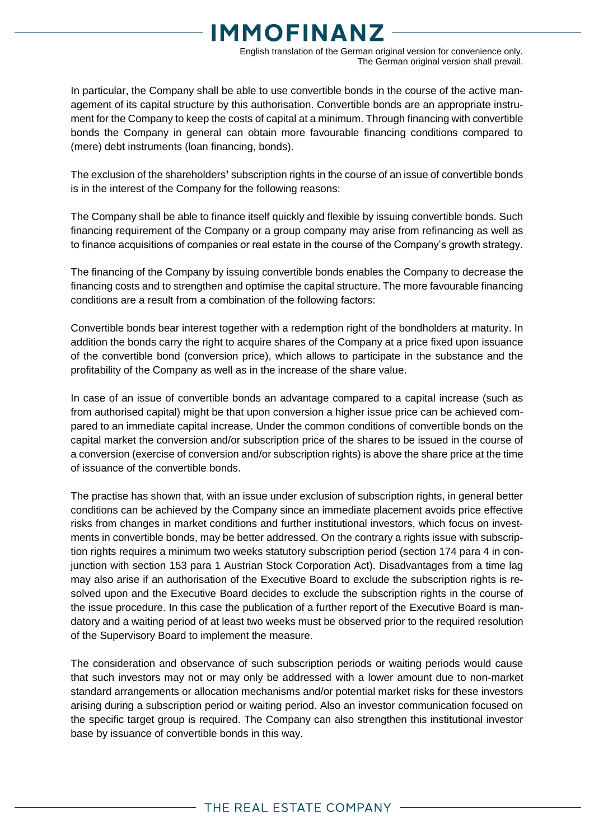# **MMOFINANZ**

English translation of the German original version for convenience only. The German original version shall prevail.

In particular, the Company shall be able to use convertible bonds in the course of the active management of its capital structure by this authorisation. Convertible bonds are an appropriate instrument for the Company to keep the costs of capital at a minimum. Through financing with convertible bonds the Company in general can obtain more favourable financing conditions compared to (mere) debt instruments (loan financing, bonds).

The exclusion of the shareholders**'** subscription rights in the course of an issue of convertible bonds is in the interest of the Company for the following reasons:

The Company shall be able to finance itself quickly and flexible by issuing convertible bonds. Such financing requirement of the Company or a group company may arise from refinancing as well as to finance acquisitions of companies or real estate in the course of the Company's growth strategy.

The financing of the Company by issuing convertible bonds enables the Company to decrease the financing costs and to strengthen and optimise the capital structure. The more favourable financing conditions are a result from a combination of the following factors:

Convertible bonds bear interest together with a redemption right of the bondholders at maturity. In addition the bonds carry the right to acquire shares of the Company at a price fixed upon issuance of the convertible bond (conversion price), which allows to participate in the substance and the profitability of the Company as well as in the increase of the share value.

In case of an issue of convertible bonds an advantage compared to a capital increase (such as from authorised capital) might be that upon conversion a higher issue price can be achieved compared to an immediate capital increase. Under the common conditions of convertible bonds on the capital market the conversion and/or subscription price of the shares to be issued in the course of a conversion (exercise of conversion and/or subscription rights) is above the share price at the time of issuance of the convertible bonds.

The practise has shown that, with an issue under exclusion of subscription rights, in general better conditions can be achieved by the Company since an immediate placement avoids price effective risks from changes in market conditions and further institutional investors, which focus on investments in convertible bonds, may be better addressed. On the contrary a rights issue with subscription rights requires a minimum two weeks statutory subscription period (section 174 para 4 in conjunction with section 153 para 1 Austrian Stock Corporation Act). Disadvantages from a time lag may also arise if an authorisation of the Executive Board to exclude the subscription rights is resolved upon and the Executive Board decides to exclude the subscription rights in the course of the issue procedure. In this case the publication of a further report of the Executive Board is mandatory and a waiting period of at least two weeks must be observed prior to the required resolution of the Supervisory Board to implement the measure.

The consideration and observance of such subscription periods or waiting periods would cause that such investors may not or may only be addressed with a lower amount due to non-market standard arrangements or allocation mechanisms and/or potential market risks for these investors arising during a subscription period or waiting period. Also an investor communication focused on the specific target group is required. The Company can also strengthen this institutional investor base by issuance of convertible bonds in this way.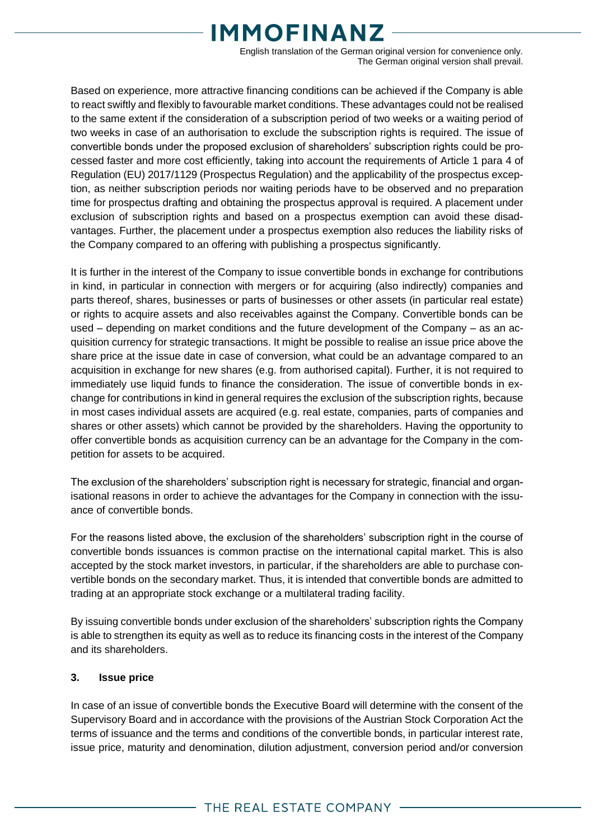# **MMOFINANZ**

English translation of the German original version for convenience only. The German original version shall prevail.

Based on experience, more attractive financing conditions can be achieved if the Company is able to react swiftly and flexibly to favourable market conditions. These advantages could not be realised to the same extent if the consideration of a subscription period of two weeks or a waiting period of two weeks in case of an authorisation to exclude the subscription rights is required. The issue of convertible bonds under the proposed exclusion of shareholders' subscription rights could be processed faster and more cost efficiently, taking into account the requirements of Article 1 para 4 of Regulation (EU) 2017/1129 (Prospectus Regulation) and the applicability of the prospectus exception, as neither subscription periods nor waiting periods have to be observed and no preparation time for prospectus drafting and obtaining the prospectus approval is required. A placement under exclusion of subscription rights and based on a prospectus exemption can avoid these disadvantages. Further, the placement under a prospectus exemption also reduces the liability risks of the Company compared to an offering with publishing a prospectus significantly.

It is further in the interest of the Company to issue convertible bonds in exchange for contributions in kind, in particular in connection with mergers or for acquiring (also indirectly) companies and parts thereof, shares, businesses or parts of businesses or other assets (in particular real estate) or rights to acquire assets and also receivables against the Company. Convertible bonds can be used – depending on market conditions and the future development of the Company – as an acquisition currency for strategic transactions. It might be possible to realise an issue price above the share price at the issue date in case of conversion, what could be an advantage compared to an acquisition in exchange for new shares (e.g. from authorised capital). Further, it is not required to immediately use liquid funds to finance the consideration. The issue of convertible bonds in exchange for contributions in kind in general requires the exclusion of the subscription rights, because in most cases individual assets are acquired (e.g. real estate, companies, parts of companies and shares or other assets) which cannot be provided by the shareholders. Having the opportunity to offer convertible bonds as acquisition currency can be an advantage for the Company in the competition for assets to be acquired.

The exclusion of the shareholders' subscription right is necessary for strategic, financial and organisational reasons in order to achieve the advantages for the Company in connection with the issuance of convertible bonds.

For the reasons listed above, the exclusion of the shareholders' subscription right in the course of convertible bonds issuances is common practise on the international capital market. This is also accepted by the stock market investors, in particular, if the shareholders are able to purchase convertible bonds on the secondary market. Thus, it is intended that convertible bonds are admitted to trading at an appropriate stock exchange or a multilateral trading facility.

By issuing convertible bonds under exclusion of the shareholders' subscription rights the Company is able to strengthen its equity as well as to reduce its financing costs in the interest of the Company and its shareholders.

## **3. Issue price**

In case of an issue of convertible bonds the Executive Board will determine with the consent of the Supervisory Board and in accordance with the provisions of the Austrian Stock Corporation Act the terms of issuance and the terms and conditions of the convertible bonds, in particular interest rate, issue price, maturity and denomination, dilution adjustment, conversion period and/or conversion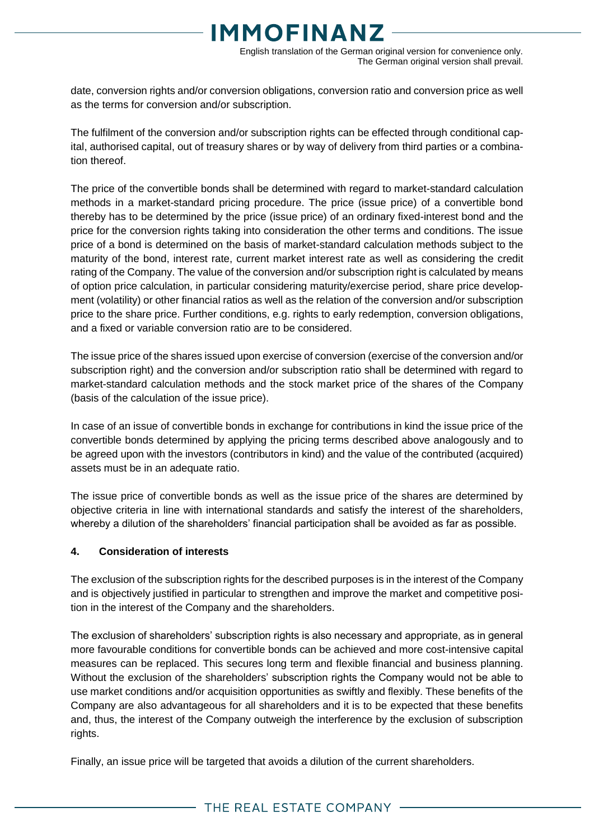# **MMOFINANZ**

English translation of the German original version for convenience only. The German original version shall prevail.

date, conversion rights and/or conversion obligations, conversion ratio and conversion price as well as the terms for conversion and/or subscription.

The fulfilment of the conversion and/or subscription rights can be effected through conditional capital, authorised capital, out of treasury shares or by way of delivery from third parties or a combination thereof.

The price of the convertible bonds shall be determined with regard to market-standard calculation methods in a market-standard pricing procedure. The price (issue price) of a convertible bond thereby has to be determined by the price (issue price) of an ordinary fixed-interest bond and the price for the conversion rights taking into consideration the other terms and conditions. The issue price of a bond is determined on the basis of market-standard calculation methods subject to the maturity of the bond, interest rate, current market interest rate as well as considering the credit rating of the Company. The value of the conversion and/or subscription right is calculated by means of option price calculation, in particular considering maturity/exercise period, share price development (volatility) or other financial ratios as well as the relation of the conversion and/or subscription price to the share price. Further conditions, e.g. rights to early redemption, conversion obligations, and a fixed or variable conversion ratio are to be considered.

The issue price of the shares issued upon exercise of conversion (exercise of the conversion and/or subscription right) and the conversion and/or subscription ratio shall be determined with regard to market-standard calculation methods and the stock market price of the shares of the Company (basis of the calculation of the issue price).

In case of an issue of convertible bonds in exchange for contributions in kind the issue price of the convertible bonds determined by applying the pricing terms described above analogously and to be agreed upon with the investors (contributors in kind) and the value of the contributed (acquired) assets must be in an adequate ratio.

The issue price of convertible bonds as well as the issue price of the shares are determined by objective criteria in line with international standards and satisfy the interest of the shareholders, whereby a dilution of the shareholders' financial participation shall be avoided as far as possible.

## **4. Consideration of interests**

The exclusion of the subscription rights for the described purposes is in the interest of the Company and is objectively justified in particular to strengthen and improve the market and competitive position in the interest of the Company and the shareholders.

The exclusion of shareholders' subscription rights is also necessary and appropriate, as in general more favourable conditions for convertible bonds can be achieved and more cost-intensive capital measures can be replaced. This secures long term and flexible financial and business planning. Without the exclusion of the shareholders' subscription rights the Company would not be able to use market conditions and/or acquisition opportunities as swiftly and flexibly. These benefits of the Company are also advantageous for all shareholders and it is to be expected that these benefits and, thus, the interest of the Company outweigh the interference by the exclusion of subscription rights.

Finally, an issue price will be targeted that avoids a dilution of the current shareholders.